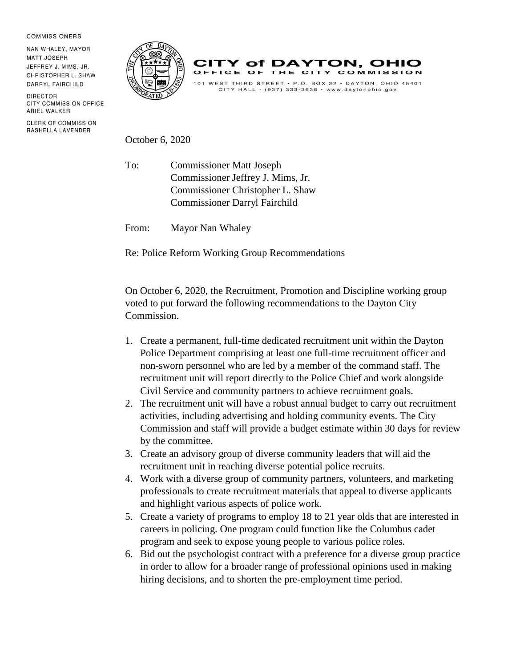## **COMMISSIONERS**

NAN WHALEY, MAYOR **MATT JOSEPH** JEFFREY J. MIMS, JR. CHRISTOPHER L. SHAW DARRYL FAIRCHILD

DIRECTOR **CITY COMMISSION OFFICE** ARIEL WALKER

**CLERK OF COMMISSION** RASHELLA LAVENDER





## October 6, 2020

To: Commissioner Matt Joseph Commissioner Jeffrey J. Mims, Jr. Commissioner Christopher L. Shaw Commissioner Darryl Fairchild

From: Mayor Nan Whaley

Re: Police Reform Working Group Recommendations

On October 6, 2020, the Recruitment, Promotion and Discipline working group voted to put forward the following recommendations to the Dayton City Commission.

- 1. Create a permanent, full-time dedicated recruitment unit within the Dayton Police Department comprising at least one full-time recruitment officer and non-sworn personnel who are led by a member of the command staff. The recruitment unit will report directly to the Police Chief and work alongside Civil Service and community partners to achieve recruitment goals.
- 2. The recruitment unit will have a robust annual budget to carry out recruitment activities, including advertising and holding community events. The City Commission and staff will provide a budget estimate within 30 days for review by the committee.
- 3. Create an advisory group of diverse community leaders that will aid the recruitment unit in reaching diverse potential police recruits.
- 4. Work with a diverse group of community partners, volunteers, and marketing professionals to create recruitment materials that appeal to diverse applicants and highlight various aspects of police work.
- 5. Create a variety of programs to employ 18 to 21 year olds that are interested in careers in policing. One program could function like the Columbus cadet program and seek to expose young people to various police roles.
- 6. Bid out the psychologist contract with a preference for a diverse group practice in order to allow for a broader range of professional opinions used in making hiring decisions, and to shorten the pre-employment time period.